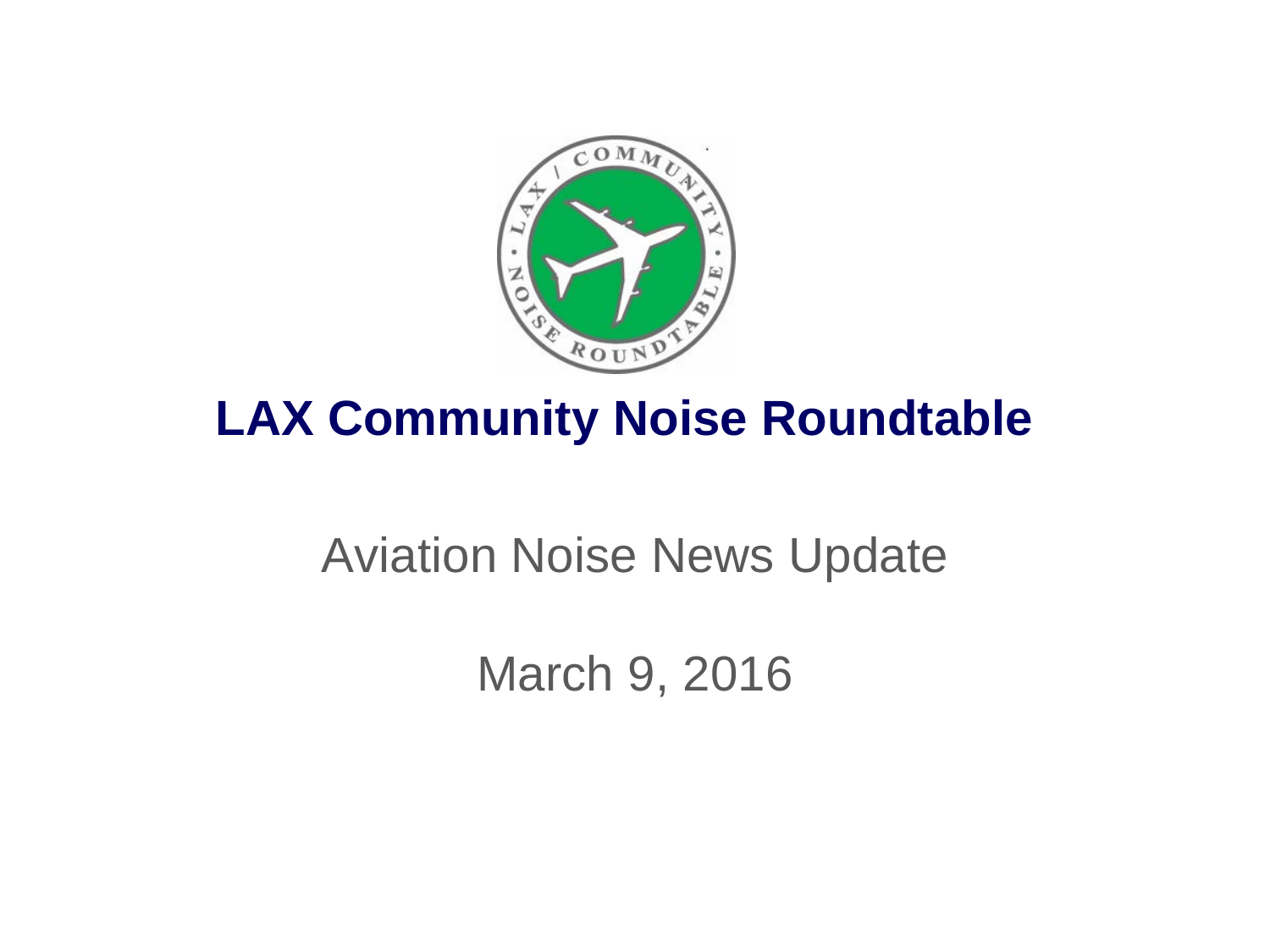

## **LAX Community Noise Roundtable**

## Aviation Noise News Update

March 9, 2016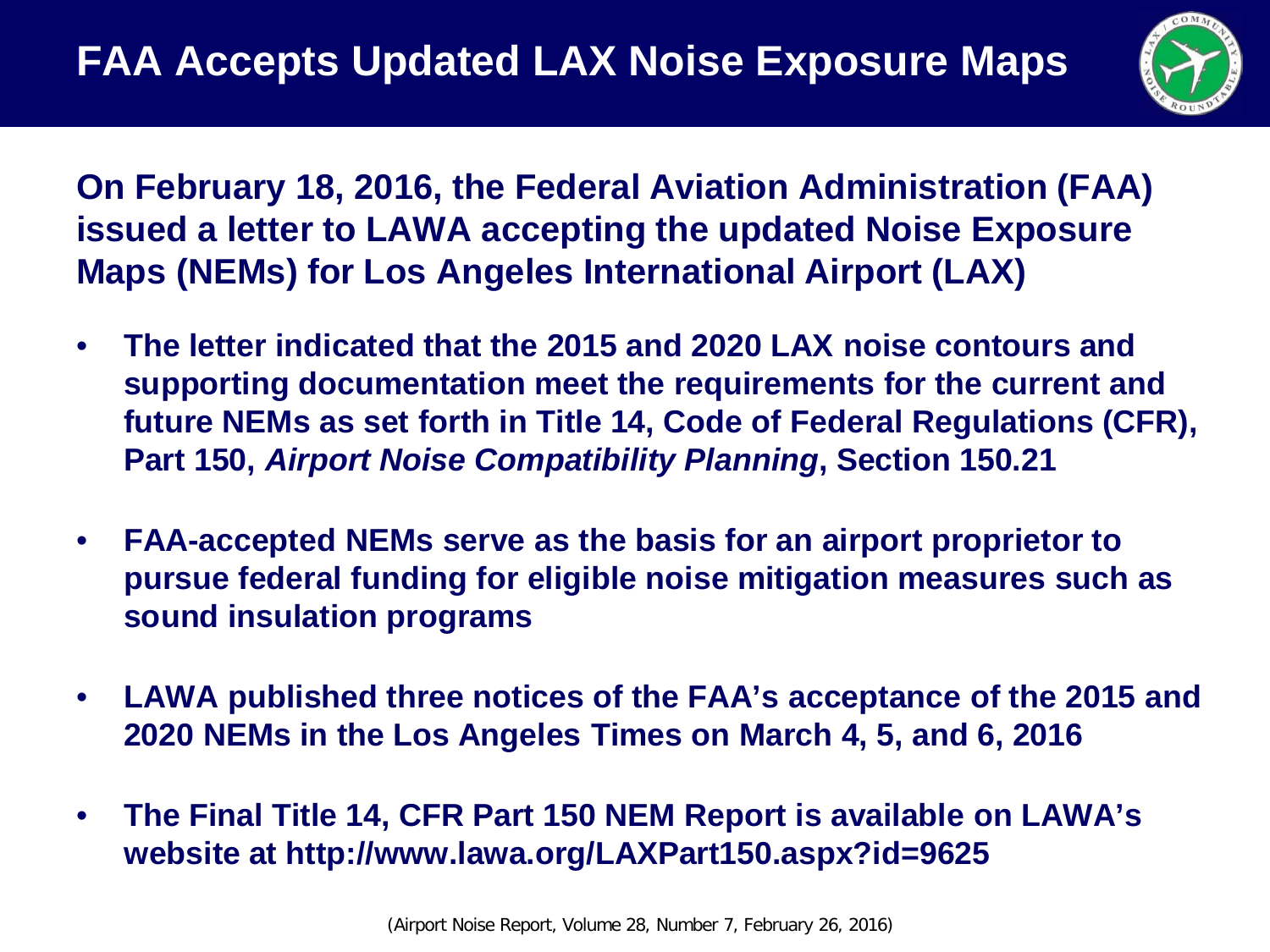

**On February 18, 2016, the Federal Aviation Administration (FAA) issued a letter to LAWA accepting the updated Noise Exposure Maps (NEMs) for Los Angeles International Airport (LAX)**

- **The letter indicated that the 2015 and 2020 LAX noise contours and supporting documentation meet the requirements for the current and future NEMs as set forth in Title 14, Code of Federal Regulations (CFR), Part 150,** *Airport Noise Compatibility Planning***, Section 150.21**
- **FAA-accepted NEMs serve as the basis for an airport proprietor to pursue federal funding for eligible noise mitigation measures such as sound insulation programs**
- **LAWA published three notices of the FAA's acceptance of the 2015 and 2020 NEMs in the Los Angeles Times on March 4, 5, and 6, 2016**
- **The Final Title 14, CFR Part 150 NEM Report is available on LAWA's website at http://www.lawa.org/LAXPart150.aspx?id=9625**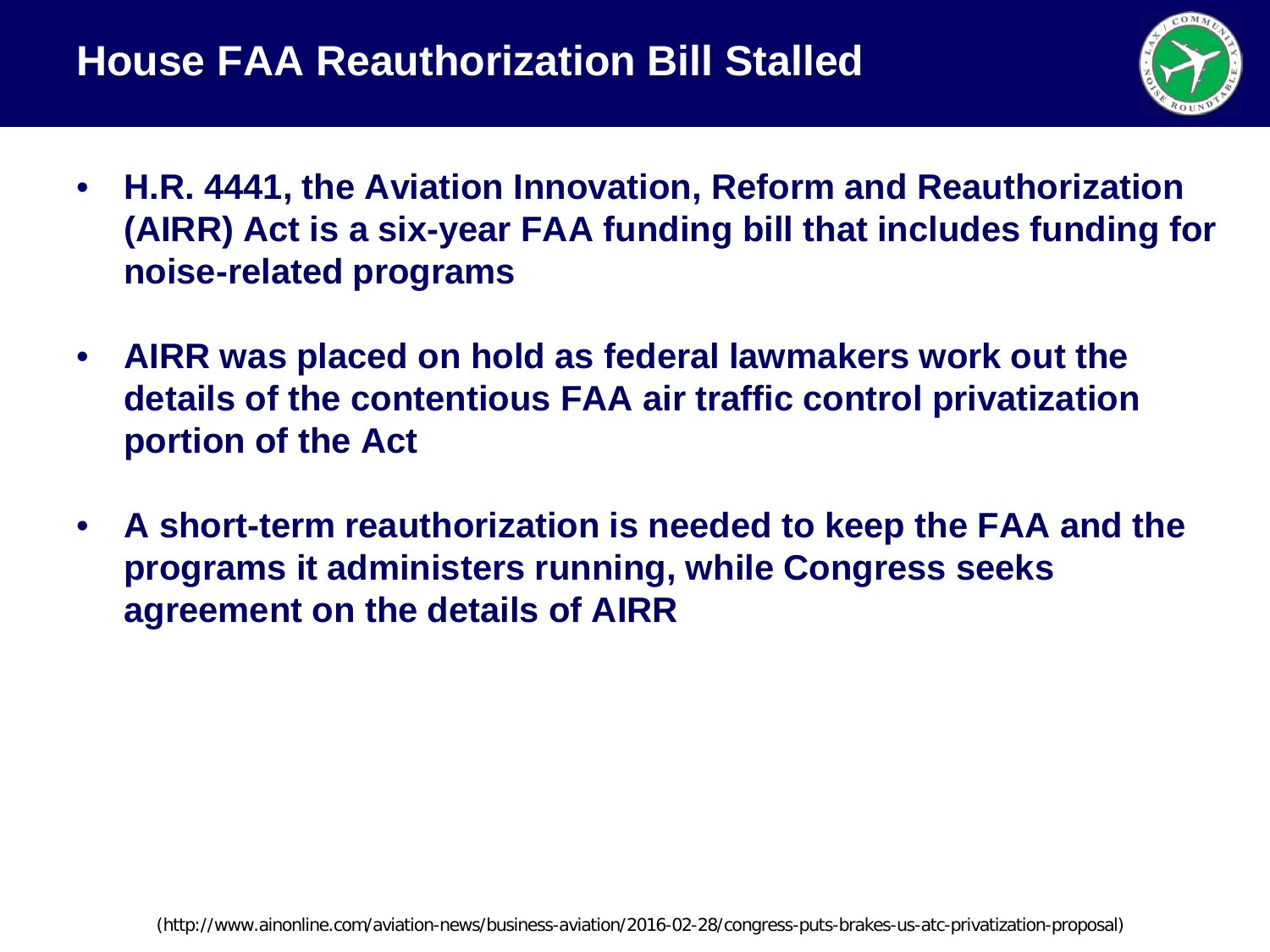

- **H.R. 4441, the Aviation Innovation, Reform and Reauthorization (AIRR) Act is a six-year FAA funding bill that includes funding for noise-related programs**
- **AIRR was placed on hold as federal lawmakers work out the details of the contentious FAA air traffic control privatization portion of the Act**
- **A short-term reauthorization is needed to keep the FAA and the programs it administers running, while Congress seeks agreement on the details of AIRR**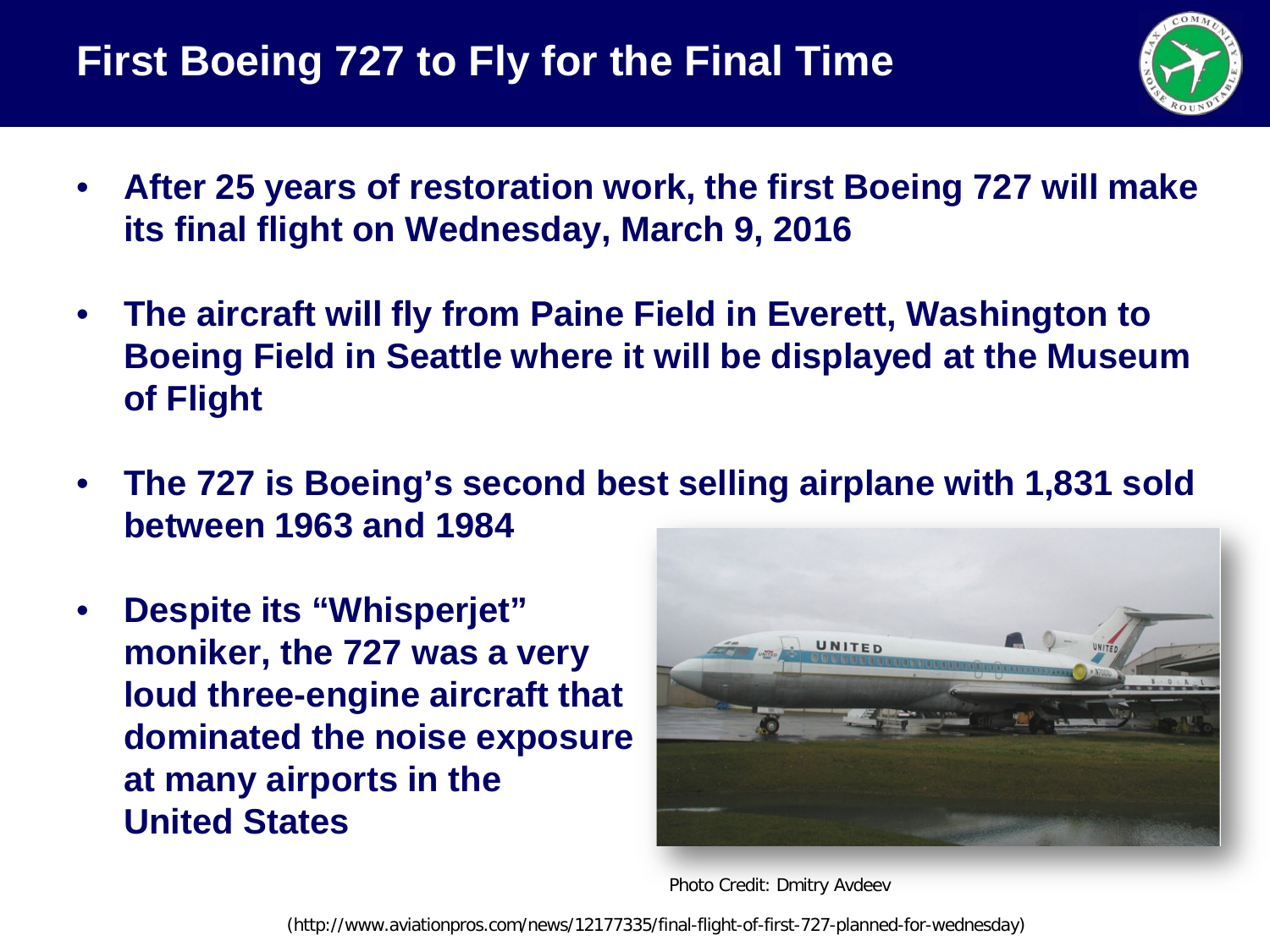

- **After 25 years of restoration work, the first Boeing 727 will make its final flight on Wednesday, March 9, 2016**
- **The aircraft will fly from Paine Field in Everett, Washington to Boeing Field in Seattle where it will be displayed at the Museum of Flight**
- **The 727 is Boeing's second best selling airplane with 1,831 sold between 1963 and 1984**
- **Despite its "Whisperjet" moniker, the 727 was a very loud three-engine aircraft that dominated the noise exposure at many airports in the United States**



Photo Credit: Dmitry Avdeev

(http://www.aviationpros.com/news/12177335/final-flight-of-first-727-planned-for-wednesday)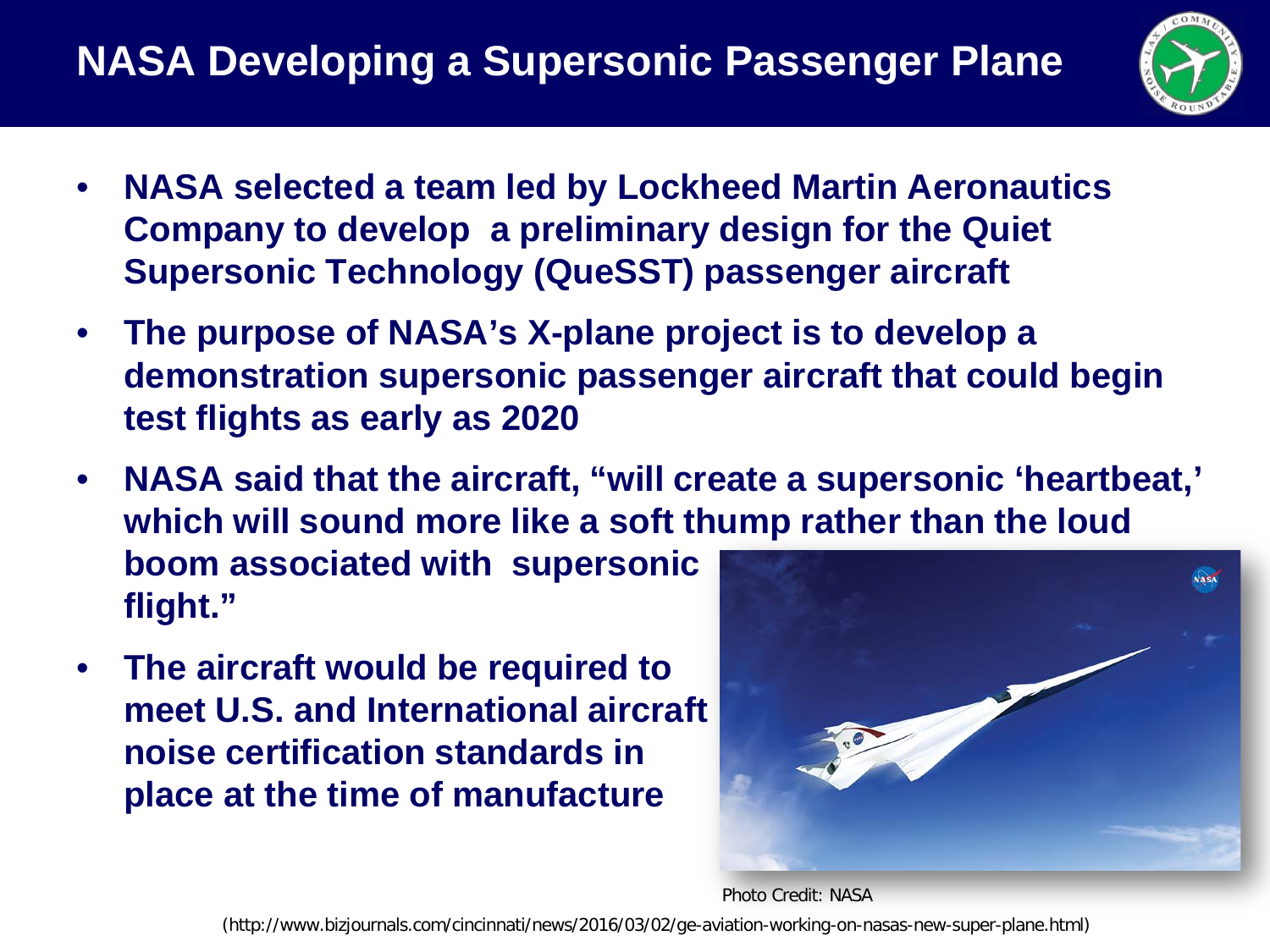

- **NASA selected a team led by Lockheed Martin Aeronautics Company to develop a preliminary design for the Quiet Supersonic Technology (QueSST) passenger aircraft**
- **The purpose of NASA's X-plane project is to develop a demonstration supersonic passenger aircraft that could begin test flights as early as 2020**
- **NASA said that the aircraft, "will create a supersonic 'heartbeat,' which will sound more like a soft thump rather than the loud boom associated with supersonic flight."**
- **The aircraft would be required to meet U.S. and International aircraft noise certification standards in place at the time of manufacture**



Photo Credit: NASA

(http://www.bizjournals.com/cincinnati/news/2016/03/02/ge-aviation-working-on-nasas-new-super-plane.html)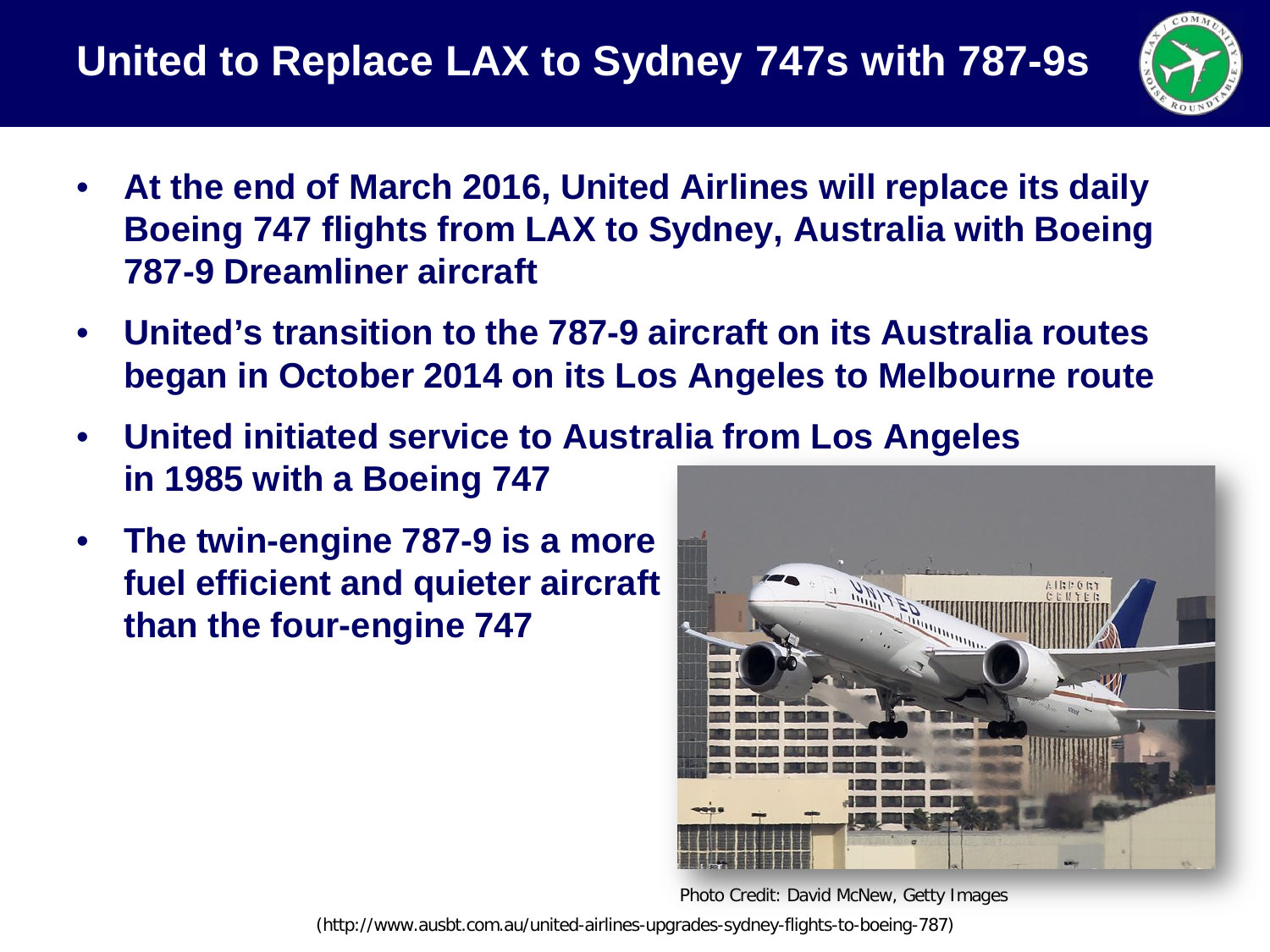

- **At the end of March 2016, United Airlines will replace its daily Boeing 747 flights from LAX to Sydney, Australia with Boeing 787-9 Dreamliner aircraft**
- **United's transition to the 787-9 aircraft on its Australia routes began in October 2014 on its Los Angeles to Melbourne route**
- **United initiated service to Australia from Los Angeles in 1985 with a Boeing 747**
- **The twin-engine 787-9 is a more fuel efficient and quieter aircraft than the four-engine 747**



Photo Credit: David McNew, Getty Images

(http://www.ausbt.com.au/united-airlines-upgrades-sydney-flights-to-boeing-787)